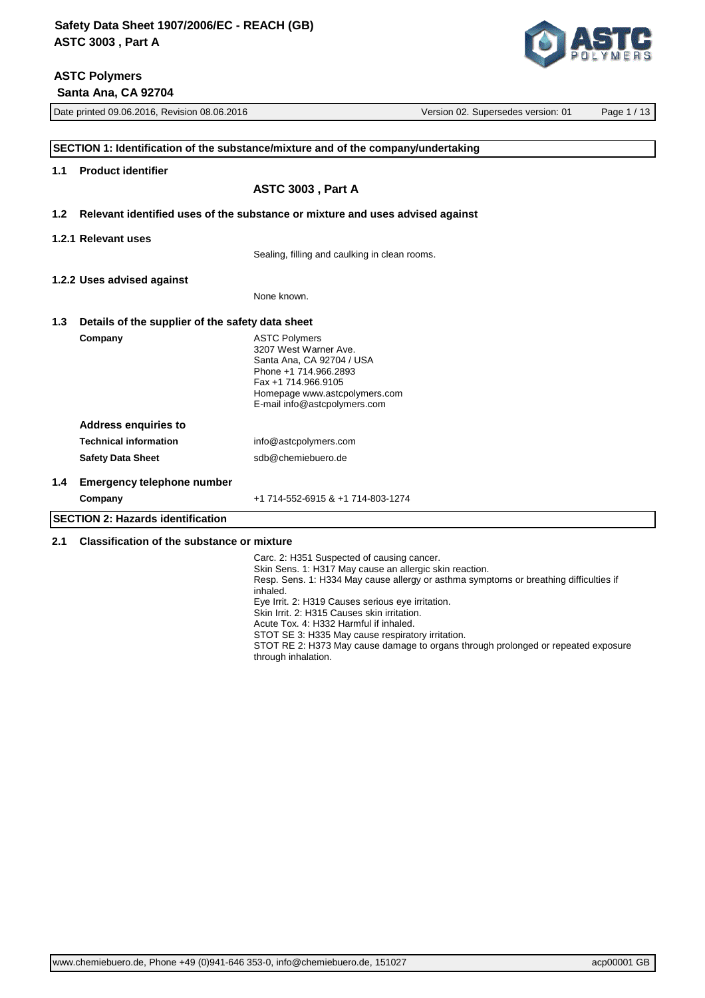# **ASTC Polymers**

 **Santa Ana, CA 92704**



|                  | Date printed 09.06.2016, Revision 08.06.2016     | Version 02. Supersedes version: 01                                                                                                                                                          | Page 1 / 13 |
|------------------|--------------------------------------------------|---------------------------------------------------------------------------------------------------------------------------------------------------------------------------------------------|-------------|
|                  |                                                  | SECTION 1: Identification of the substance/mixture and of the company/undertaking                                                                                                           |             |
| 1.1              | <b>Product identifier</b>                        |                                                                                                                                                                                             |             |
|                  |                                                  | ASTC 3003, Part A                                                                                                                                                                           |             |
| 1.2 <sub>2</sub> |                                                  | Relevant identified uses of the substance or mixture and uses advised against                                                                                                               |             |
|                  | 1.2.1 Relevant uses                              |                                                                                                                                                                                             |             |
|                  |                                                  | Sealing, filling and caulking in clean rooms.                                                                                                                                               |             |
|                  | 1.2.2 Uses advised against                       |                                                                                                                                                                                             |             |
|                  |                                                  | None known.                                                                                                                                                                                 |             |
| 1.3              | Details of the supplier of the safety data sheet |                                                                                                                                                                                             |             |
|                  | Company                                          | <b>ASTC Polymers</b><br>3207 West Warner Ave.<br>Santa Ana, CA 92704 / USA<br>Phone +1 714.966.2893<br>Fax +1 714.966.9105<br>Homepage www.astcpolymers.com<br>E-mail info@astcpolymers.com |             |
|                  | <b>Address enquiries to</b>                      |                                                                                                                                                                                             |             |
|                  | <b>Technical information</b>                     | info@astcpolymers.com                                                                                                                                                                       |             |
|                  | <b>Safety Data Sheet</b>                         | sdb@chemiebuero.de                                                                                                                                                                          |             |
| 1.4              | <b>Emergency telephone number</b>                |                                                                                                                                                                                             |             |
|                  | Company                                          | +1 714-552-6915 & +1 714-803-1274                                                                                                                                                           |             |
|                  | <b>SECTION 2: Hazards identification</b>         |                                                                                                                                                                                             |             |

## **2.1 Classification of the substance or mixture**

Carc. 2: H351 Suspected of causing cancer. Skin Sens. 1: H317 May cause an allergic skin reaction. Resp. Sens. 1: H334 May cause allergy or asthma symptoms or breathing difficulties if inhaled. Eye Irrit. 2: H319 Causes serious eye irritation. Skin Irrit. 2: H315 Causes skin irritation. Acute Tox. 4: H332 Harmful if inhaled. STOT SE 3: H335 May cause respiratory irritation. STOT RE 2: H373 May cause damage to organs through prolonged or repeated exposure through inhalation.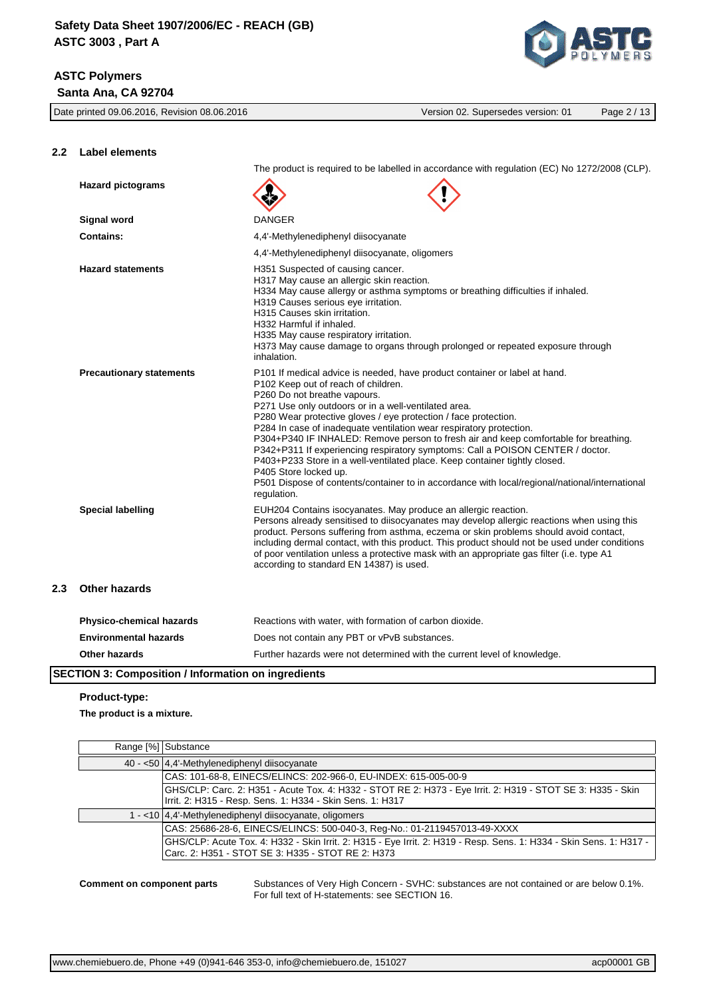Date printed 09.06.2016, Revision 08.06.2016 Version 02. Supersedes version: 01 Page 2 / 13 **2.2 Label elements** The product is required to be labelled in accordance with regulation (EC) No 1272/2008 (CLP). **Hazard pictograms Signal word** DANGER **Contains:**  $4.4'$ -Methylenediphenyl diisocyanate 4,4'-Methylenediphenyl diisocyanate, oligomers **Hazard statements H351** Suspected of causing cancer. H317 May cause an allergic skin reaction. H334 May cause allergy or asthma symptoms or breathing difficulties if inhaled. H319 Causes serious eye irritation. H315 Causes skin irritation. H332 Harmful if inhaled. H335 May cause respiratory irritation. H373 May cause damage to organs through prolonged or repeated exposure through inhalation. **Precautionary statements** P101 If medical advice is needed, have product container or label at hand. P102 Keep out of reach of children. P260 Do not breathe vapours. P271 Use only outdoors or in a well-ventilated area. P280 Wear protective gloves / eye protection / face protection. P284 In case of inadequate ventilation wear respiratory protection. P304+P340 IF INHALED: Remove person to fresh air and keep comfortable for breathing. P342+P311 If experiencing respiratory symptoms: Call a POISON CENTER / doctor. P403+P233 Store in a well-ventilated place. Keep container tightly closed. P405 Store locked up. P501 Dispose of contents/container to in accordance with local/regional/national/international regulation.

**Special labelling** EUH204 Contains isocyanates. May produce an allergic reaction. Persons already sensitised to diisocyanates may develop allergic reactions when using this product. Persons suffering from asthma, eczema or skin problems should avoid contact, including dermal contact, with this product. This product should not be used under conditions of poor ventilation unless a protective mask with an appropriate gas filter (i.e. type A1 according to standard EN 14387) is used.

#### **2.3 Other hazards**

| <b>Physico-chemical hazards</b> | Reactions with water, with formation of carbon dioxide.                  |
|---------------------------------|--------------------------------------------------------------------------|
| <b>Environmental hazards</b>    | Does not contain any PBT or vPvB substances.                             |
| <b>Other hazards</b>            | Further hazards were not determined with the current level of knowledge. |

#### **SECTION 3: Composition / Information on ingredients**

#### **Product-type:**

#### **The product is a mixture.**

|                                                                                                                                                                          | Range [%] Substance                                                                                                                                                      |  |
|--------------------------------------------------------------------------------------------------------------------------------------------------------------------------|--------------------------------------------------------------------------------------------------------------------------------------------------------------------------|--|
| 40 - <50 4,4'-Methylenediphenyl diisocyanate                                                                                                                             |                                                                                                                                                                          |  |
| CAS: 101-68-8, EINECS/ELINCS: 202-966-0, EU-INDEX: 615-005-00-9                                                                                                          |                                                                                                                                                                          |  |
| GHS/CLP: Carc. 2: H351 - Acute Tox. 4: H332 - STOT RE 2: H373 - Eye Irrit. 2: H319 - STOT SE 3: H335 - Skin<br>Irrit. 2: H315 - Resp. Sens. 1: H334 - Skin Sens. 1: H317 |                                                                                                                                                                          |  |
|                                                                                                                                                                          | 1 - <10 4,4'-Methylenediphenyl diisocyanate, oligomers                                                                                                                   |  |
|                                                                                                                                                                          | CAS: 25686-28-6, EINECS/ELINCS: 500-040-3, Reg-No.: 01-2119457013-49-XXXX                                                                                                |  |
|                                                                                                                                                                          | GHS/CLP: Acute Tox. 4: H332 - Skin Irrit. 2: H315 - Eye Irrit. 2: H319 - Resp. Sens. 1: H334 - Skin Sens. 1: H317 -<br>Carc. 2: H351 - STOT SE 3: H335 - STOT RE 2: H373 |  |

**Comment on component parts** Substances of Very High Concern - SVHC: substances are not contained or are below 0.1%. For full text of H-statements: see SECTION 16.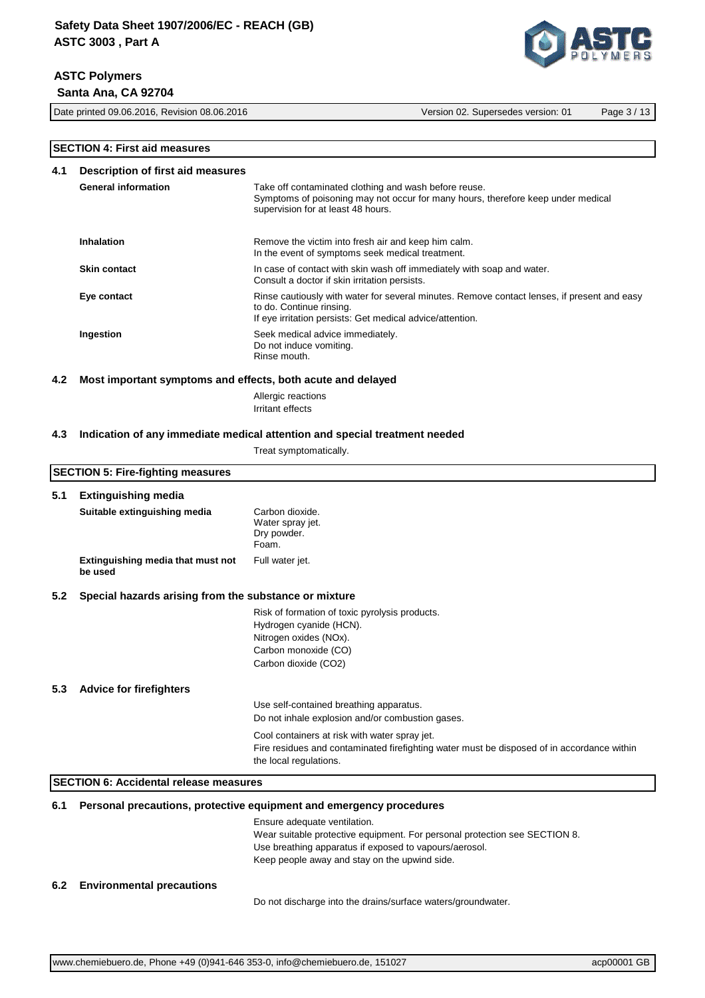Date printed 09.06.2016, Revision 08.06.2016 Version 02. Supersedes version: 01 Page 3 / 13

## **SECTION 4: First aid measures**

**SECTION 5: Fire-fighting measures**

| 4.1 | Description of first aid measures |                                                                                                                                                                                      |  |
|-----|-----------------------------------|--------------------------------------------------------------------------------------------------------------------------------------------------------------------------------------|--|
|     | <b>General information</b>        | Take off contaminated clothing and wash before reuse.<br>Symptoms of poisoning may not occur for many hours, therefore keep under medical<br>supervision for at least 48 hours.      |  |
|     | <b>Inhalation</b>                 | Remove the victim into fresh air and keep him calm.<br>In the event of symptoms seek medical treatment.                                                                              |  |
|     | <b>Skin contact</b>               | In case of contact with skin wash off immediately with soap and water.<br>Consult a doctor if skin irritation persists.                                                              |  |
|     | Eye contact                       | Rinse cautiously with water for several minutes. Remove contact lenses, if present and easy<br>to do. Continue rinsing.<br>If eye irritation persists: Get medical advice/attention. |  |
|     | Ingestion                         | Seek medical advice immediately.<br>Do not induce vomiting.<br>Rinse mouth.                                                                                                          |  |

#### **4.2 Most important symptoms and effects, both acute and delayed**

Allergic reactions Irritant effects

#### **4.3 Indication of any immediate medical attention and special treatment needed**

Treat symptomatically.

# **5.1 Extinguishing media Suitable extinguishing media** Carbon dioxide. Water spray jet. Dry powder. Foam. **Extinguishing media that must not be used** Full water jet. **5.2 Special hazards arising from the substance or mixture** Risk of formation of toxic pyrolysis products. Hydrogen cyanide (HCN). Nitrogen oxides (NOx). Carbon monoxide (CO) Carbon dioxide (CO2) **5.3 Advice for firefighters** Use self-contained breathing apparatus. Do not inhale explosion and/or combustion gases. Cool containers at risk with water spray jet. Fire residues and contaminated firefighting water must be disposed of in accordance within the local regulations. **SECTION 6: Accidental release measures 6.1 Personal precautions, protective equipment and emergency procedures** Ensure adequate ventilation. Wear suitable protective equipment. For personal protection see SECTION 8. Use breathing apparatus if exposed to vapours/aerosol. Keep people away and stay on the upwind side. **6.2 Environmental precautions**

Do not discharge into the drains/surface waters/groundwater.

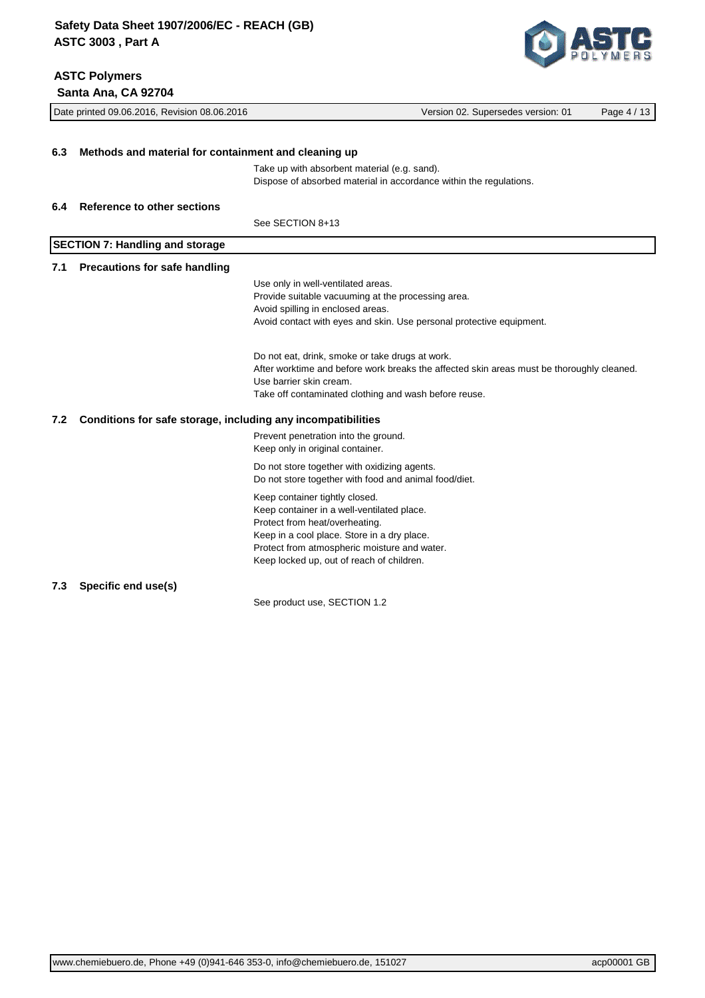**ASTC Polymers**



|     | Santa Ana, CA 92704                                          |                                                                                                                                                                                                                                                            |  |  |
|-----|--------------------------------------------------------------|------------------------------------------------------------------------------------------------------------------------------------------------------------------------------------------------------------------------------------------------------------|--|--|
|     | Date printed 09.06.2016, Revision 08.06.2016                 | Version 02. Supersedes version: 01<br>Page 4 / 13                                                                                                                                                                                                          |  |  |
| 6.3 | Methods and material for containment and cleaning up         |                                                                                                                                                                                                                                                            |  |  |
|     |                                                              | Take up with absorbent material (e.g. sand).<br>Dispose of absorbed material in accordance within the regulations.                                                                                                                                         |  |  |
| 6.4 | <b>Reference to other sections</b>                           |                                                                                                                                                                                                                                                            |  |  |
|     |                                                              | See SECTION 8+13                                                                                                                                                                                                                                           |  |  |
|     | <b>SECTION 7: Handling and storage</b>                       |                                                                                                                                                                                                                                                            |  |  |
| 7.1 | <b>Precautions for safe handling</b>                         |                                                                                                                                                                                                                                                            |  |  |
|     |                                                              | Use only in well-ventilated areas.<br>Provide suitable vacuuming at the processing area.<br>Avoid spilling in enclosed areas.<br>Avoid contact with eyes and skin. Use personal protective equipment.                                                      |  |  |
|     |                                                              | Do not eat, drink, smoke or take drugs at work.<br>After worktime and before work breaks the affected skin areas must be thoroughly cleaned.<br>Use barrier skin cream.<br>Take off contaminated clothing and wash before reuse.                           |  |  |
| 7.2 | Conditions for safe storage, including any incompatibilities |                                                                                                                                                                                                                                                            |  |  |
|     |                                                              | Prevent penetration into the ground.<br>Keep only in original container.                                                                                                                                                                                   |  |  |
|     |                                                              | Do not store together with oxidizing agents.<br>Do not store together with food and animal food/diet.                                                                                                                                                      |  |  |
|     |                                                              | Keep container tightly closed.<br>Keep container in a well-ventilated place.<br>Protect from heat/overheating.<br>Keep in a cool place. Store in a dry place.<br>Protect from atmospheric moisture and water.<br>Keep locked up, out of reach of children. |  |  |
| 7.3 | Specific end use(s)                                          |                                                                                                                                                                                                                                                            |  |  |
|     |                                                              | See product use, SECTION 1.2                                                                                                                                                                                                                               |  |  |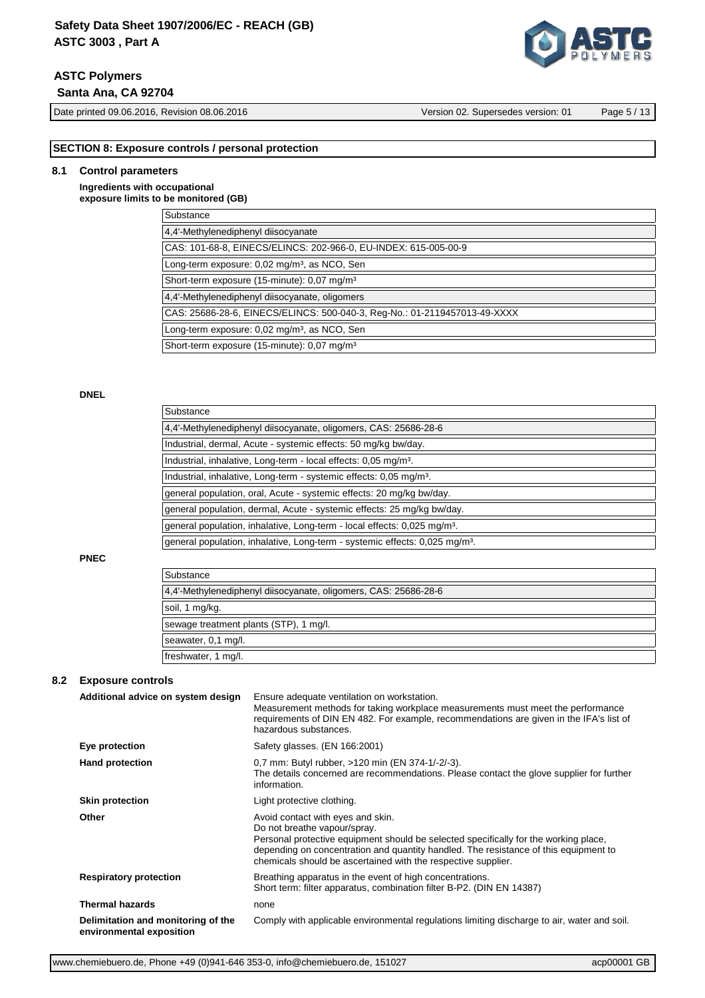# **ASTC Polymers**

 **Santa Ana, CA 92704**

Date printed 09.06.2016, Revision 08.06.2016 Version 02. Supersedes version: 01 Page 5 / 13

## **SECTION 8: Exposure controls / personal protection**

## **8.1 Control parameters**

**Ingredients with occupational exposure limits to be monitored (GB)**

| Substance                                                                 |
|---------------------------------------------------------------------------|
| 4.4'-Methylenediphenyl diisocyanate                                       |
| CAS: 101-68-8, EINECS/ELINCS: 202-966-0, EU-INDEX: 615-005-00-9           |
| Long-term exposure: 0,02 mg/m <sup>3</sup> , as NCO, Sen                  |
| Short-term exposure (15-minute): 0.07 mg/m <sup>3</sup>                   |
| 4,4'-Methylenediphenyl diisocyanate, oligomers                            |
| CAS: 25686-28-6, EINECS/ELINCS: 500-040-3, Req-No.: 01-2119457013-49-XXXX |
| Long-term exposure: 0,02 mg/m <sup>3</sup> , as NCO, Sen                  |
| Short-term exposure (15-minute): 0.07 mg/m <sup>3</sup>                   |

## **DNEL**

| Substance                                                                               |
|-----------------------------------------------------------------------------------------|
| 4,4'-Methylenediphenyl diisocyanate, oligomers, CAS: 25686-28-6                         |
| Industrial, dermal, Acute - systemic effects: 50 mg/kg bw/day.                          |
| Industrial, inhalative, Long-term - local effects: 0.05 mg/m <sup>3</sup> .             |
| Industrial, inhalative, Long-term - systemic effects: 0,05 mg/m <sup>3</sup> .          |
| general population, oral, Acute - systemic effects: 20 mg/kg bw/day.                    |
| general population, dermal, Acute - systemic effects: 25 mg/kg bw/day.                  |
| general population, inhalative, Long-term - local effects: 0,025 mg/m <sup>3</sup> .    |
| general population, inhalative, Long-term - systemic effects: 0,025 mg/m <sup>3</sup> . |

#### **PNEC**

| Substance                                                       |
|-----------------------------------------------------------------|
| 4,4'-Methylenediphenyl diisocyanate, oligomers, CAS: 25686-28-6 |
| soil, 1 mg/kg.                                                  |
| sewage treatment plants (STP), 1 mg/l.                          |
| seawater, 0,1 mg/l.                                             |
| freshwater, 1 mg/l.                                             |

## **8.2 Exposure controls**

| Additional advice on system design                             | Ensure adequate ventilation on workstation.<br>Measurement methods for taking workplace measurements must meet the performance<br>requirements of DIN EN 482. For example, recommendations are given in the IFA's list of<br>hazardous substances.                                                                 |
|----------------------------------------------------------------|--------------------------------------------------------------------------------------------------------------------------------------------------------------------------------------------------------------------------------------------------------------------------------------------------------------------|
| Eye protection                                                 | Safety glasses. (EN 166:2001)                                                                                                                                                                                                                                                                                      |
| <b>Hand protection</b>                                         | 0,7 mm: Butyl rubber, >120 min (EN 374-1/-2/-3).<br>The details concerned are recommendations. Please contact the glove supplier for further<br>information.                                                                                                                                                       |
| <b>Skin protection</b>                                         | Light protective clothing.                                                                                                                                                                                                                                                                                         |
| Other                                                          | Avoid contact with eyes and skin.<br>Do not breathe vapour/spray.<br>Personal protective equipment should be selected specifically for the working place,<br>depending on concentration and quantity handled. The resistance of this equipment to<br>chemicals should be ascertained with the respective supplier. |
| <b>Respiratory protection</b>                                  | Breathing apparatus in the event of high concentrations.<br>Short term: filter apparatus, combination filter B-P2. (DIN EN 14387)                                                                                                                                                                                  |
| <b>Thermal hazards</b>                                         | none                                                                                                                                                                                                                                                                                                               |
| Delimitation and monitoring of the<br>environmental exposition | Comply with applicable environmental regulations limiting discharge to air, water and soil.                                                                                                                                                                                                                        |

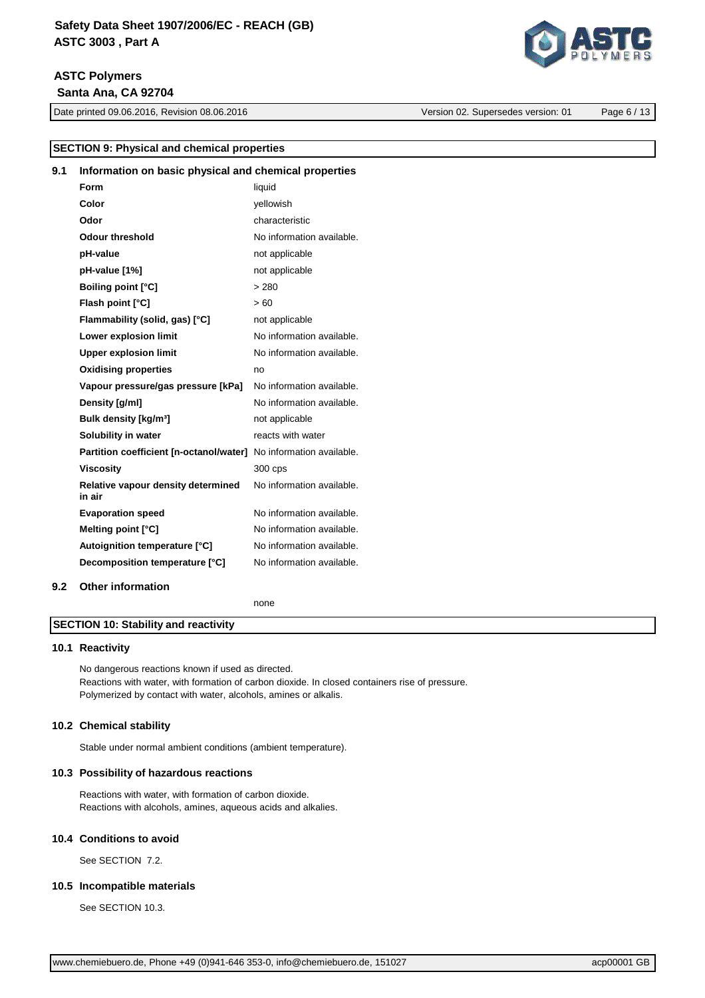# **ASTC Polymers Santa Ana, CA 92704**

Date printed 09.06.2016, Revision 08.06.2016 Version 02. Supersedes version: 01 Page 6 / 13

**SECTION 9: Physical and chemical properties**

| 9.1 | Information on basic physical and chemical properties             |                           |
|-----|-------------------------------------------------------------------|---------------------------|
|     | Form                                                              | liquid                    |
|     | Color                                                             | vellowish                 |
|     | Odor                                                              | characteristic            |
|     | <b>Odour threshold</b>                                            | No information available. |
|     | pH-value                                                          | not applicable            |
|     | pH-value [1%]                                                     | not applicable            |
|     | <b>Boiling point [°C]</b>                                         | > 280                     |
|     | Flash point [°C]                                                  | >60                       |
|     | Flammability (solid, gas) [°C]                                    | not applicable            |
|     | Lower explosion limit                                             | No information available. |
|     | <b>Upper explosion limit</b>                                      | No information available. |
|     | <b>Oxidising properties</b>                                       | no                        |
|     | Vapour pressure/gas pressure [kPa]                                | No information available. |
|     | Density [g/ml]                                                    | No information available. |
|     | Bulk density [kg/m <sup>3</sup> ]                                 | not applicable            |
|     | Solubility in water                                               | reacts with water         |
|     | Partition coefficient [n-octanol/water] No information available. |                           |
|     | <b>Viscosity</b>                                                  | 300 cps                   |
|     | Relative vapour density determined<br>in air                      | No information available. |
|     | <b>Evaporation speed</b>                                          | No information available. |
|     | Melting point [°C]                                                | No information available. |
|     | Autoignition temperature [°C]                                     | No information available. |
|     | Decomposition temperature [°C]                                    | No information available. |
| 9.2 | <b>Other information</b>                                          |                           |
|     |                                                                   | none                      |
|     | <b>SECTION 10: Stability and reactivity</b>                       |                           |

# **10.1 Reactivity**

No dangerous reactions known if used as directed. Reactions with water, with formation of carbon dioxide. In closed containers rise of pressure. Polymerized by contact with water, alcohols, amines or alkalis.

## **10.2 Chemical stability**

Stable under normal ambient conditions (ambient temperature).

## **10.3 Possibility of hazardous reactions**

Reactions with water, with formation of carbon dioxide. Reactions with alcohols, amines, aqueous acids and alkalies.

#### **10.4 Conditions to avoid**

See SECTION 7.2.

## **10.5 Incompatible materials**

See SECTION 10.3.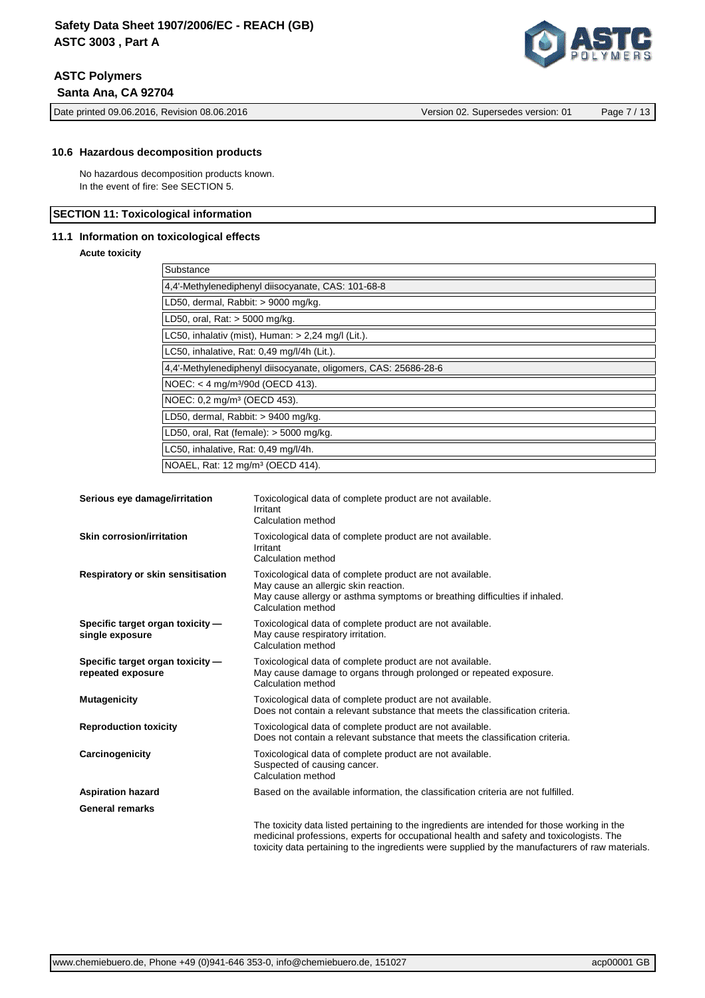Date printed 09.06.2016, Revision 08.06.2016 Version 02. Supersedes version: 01 Page 7 / 13

No hazardous decomposition products known. In the event of fire: See SECTION 5.

## **SECTION 11: Toxicological information**

## **11.1 Information on toxicological effects**

#### **Acute toxicity**

| Substance                                                       |
|-----------------------------------------------------------------|
| 4,4'-Methylenediphenyl diisocyanate, CAS: 101-68-8              |
| LD50, dermal, Rabbit: > 9000 mg/kg.                             |
| LD50, oral, Rat: > 5000 mg/kg.                                  |
| LC50, inhalativ (mist), Human: $> 2,24$ mg/l (Lit.).            |
| LC50, inhalative, Rat: 0,49 mg/l/4h (Lit.).                     |
| 4,4'-Methylenediphenyl diisocyanate, oligomers, CAS: 25686-28-6 |
| $NOEC: < 4$ mg/m <sup>3</sup> /90d ( $OECD$ 413).               |
| NOEC: 0.2 mg/m <sup>3</sup> (OECD 453).                         |
| LD50, dermal, Rabbit: > 9400 mg/kg.                             |
| LD50, oral, Rat (female): $>$ 5000 mg/kg.                       |
| LC50, inhalative, Rat: 0,49 mg/l/4h.                            |
| NOAEL, Rat: 12 mg/m <sup>3</sup> (OECD 414).                    |

| Serious eye damage/irritation                         | Toxicological data of complete product are not available.<br>Irritant<br>Calculation method                                                                                                                                                                                                  |
|-------------------------------------------------------|----------------------------------------------------------------------------------------------------------------------------------------------------------------------------------------------------------------------------------------------------------------------------------------------|
| Skin corrosion/irritation                             | Toxicological data of complete product are not available.<br>Irritant<br>Calculation method                                                                                                                                                                                                  |
| Respiratory or skin sensitisation                     | Toxicological data of complete product are not available.<br>May cause an allergic skin reaction.<br>May cause allergy or asthma symptoms or breathing difficulties if inhaled.<br>Calculation method                                                                                        |
| Specific target organ toxicity -<br>single exposure   | Toxicological data of complete product are not available.<br>May cause respiratory irritation.<br>Calculation method                                                                                                                                                                         |
| Specific target organ toxicity -<br>repeated exposure | Toxicological data of complete product are not available.<br>May cause damage to organs through prolonged or repeated exposure.<br>Calculation method                                                                                                                                        |
| <b>Mutagenicity</b>                                   | Toxicological data of complete product are not available.<br>Does not contain a relevant substance that meets the classification criteria.                                                                                                                                                   |
| <b>Reproduction toxicity</b>                          | Toxicological data of complete product are not available.<br>Does not contain a relevant substance that meets the classification criteria.                                                                                                                                                   |
| Carcinogenicity                                       | Toxicological data of complete product are not available.<br>Suspected of causing cancer.<br>Calculation method                                                                                                                                                                              |
| <b>Aspiration hazard</b>                              | Based on the available information, the classification criteria are not fulfilled.                                                                                                                                                                                                           |
| <b>General remarks</b>                                |                                                                                                                                                                                                                                                                                              |
|                                                       | The toxicity data listed pertaining to the ingredients are intended for those working in the<br>medicinal professions, experts for occupational health and safety and toxicologists. The<br>toxicity data pertaining to the ingredients were supplied by the manufacturers of raw materials. |

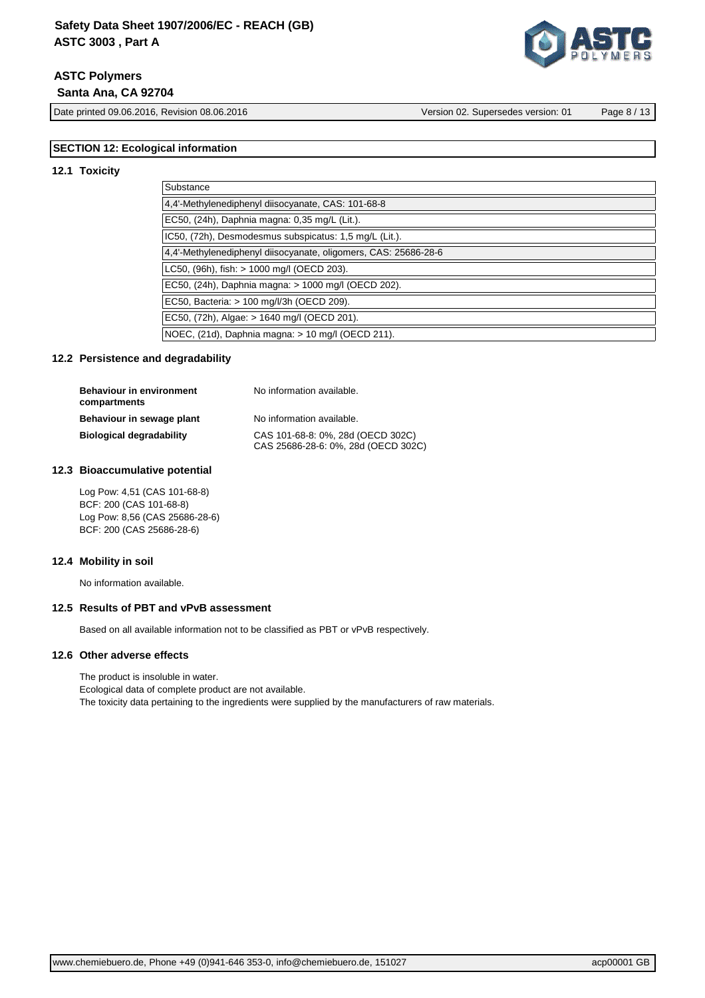# **ASTC Polymers Santa Ana, CA 92704**

Date printed 09.06.2016, Revision 08.06.2016 Version 02. Supersedes version: 01 Page 8 / 13

## **SECTION 12: Ecological information**

#### **12.1 Toxicity**

| Substance                                                       |
|-----------------------------------------------------------------|
| 4.4'-Methylenediphenyl diisocyanate, CAS: 101-68-8              |
| EC50, (24h), Daphnia magna: 0,35 mg/L (Lit.).                   |
| IC50, (72h), Desmodesmus subspicatus: 1,5 mg/L (Lit.).          |
| 4,4'-Methylenediphenyl diisocyanate, oligomers, CAS: 25686-28-6 |
| LC50, (96h), fish: > 1000 mg/l (OECD 203).                      |
| EC50, (24h), Daphnia magna: > 1000 mg/l (OECD 202).             |
| EC50, Bacteria: > 100 mg/l/3h (OECD 209).                       |
| EC50, (72h), Algae: > 1640 mg/l (OECD 201).                     |
| NOEC, (21d), Daphnia magna: > 10 mg/l (OECD 211).               |

## **12.2 Persistence and degradability**

| <b>Behaviour in environment</b><br>compartments | No information available.                                                |
|-------------------------------------------------|--------------------------------------------------------------------------|
| Behaviour in sewage plant                       | No information available.                                                |
| <b>Biological degradability</b>                 | CAS 101-68-8: 0%, 28d (OECD 302C)<br>CAS 25686-28-6: 0%, 28d (OECD 302C) |

#### **12.3 Bioaccumulative potential**

Log Pow: 4,51 (CAS 101-68-8) BCF: 200 (CAS 101-68-8) Log Pow: 8,56 (CAS 25686-28-6) BCF: 200 (CAS 25686-28-6)

#### **12.4 Mobility in soil**

No information available.

#### **12.5 Results of PBT and vPvB assessment**

Based on all available information not to be classified as PBT or vPvB respectively.

#### **12.6 Other adverse effects**

The product is insoluble in water. Ecological data of complete product are not available. The toxicity data pertaining to the ingredients were supplied by the manufacturers of raw materials.

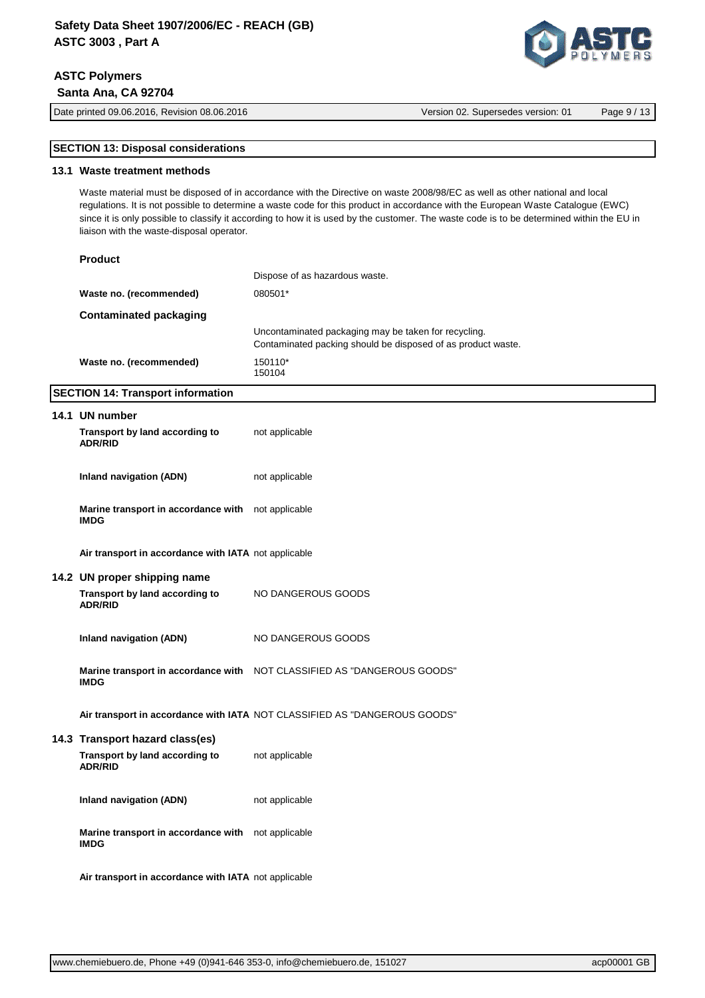# **ASTC Polymers Santa Ana, CA 92704**

[www.chemiebuero.de,](http://www.chemiebuero.de) Phone +49 (0)941-646 353-0, [info@chemiebuero.de,](mailto:info@chemiebuero.de) 151027 accomplement of the acp00001 GB

# **SECTION 13: Disposal considerations**

## **13.1 Waste treatment methods**

Waste material must be disposed of in accordance with the Directive on waste 2008/98/EC as well as other national and local regulations. It is not possible to determine a waste code for this product in accordance with the European Waste Catalogue (EWC) since it is only possible to classify it according to how it is used by the customer. The waste code is to be determined within the EU in liaison with the waste-disposal operator.

## **Product**

|                         | Dispose of as hazardous waste.                                                                                       |
|-------------------------|----------------------------------------------------------------------------------------------------------------------|
| Waste no. (recommended) | 080501*                                                                                                              |
| Contaminated packaging  |                                                                                                                      |
|                         | Uncontaminated packaging may be taken for recycling.<br>Contaminated packing should be disposed of as product waste. |
| Waste no. (recommended) | 150110*<br>150104                                                                                                    |

## **SECTION 14: Transport information**

| 14.1 UN number                                                    |                                                                            |
|-------------------------------------------------------------------|----------------------------------------------------------------------------|
| Transport by land according to<br><b>ADR/RID</b>                  | not applicable                                                             |
| Inland navigation (ADN)                                           | not applicable                                                             |
| Marine transport in accordance with not applicable<br><b>IMDG</b> |                                                                            |
| Air transport in accordance with IATA not applicable              |                                                                            |
| 14.2 UN proper shipping name                                      |                                                                            |
| Transport by land according to<br><b>ADR/RID</b>                  | NO DANGEROUS GOODS                                                         |
| Inland navigation (ADN)                                           | NO DANGEROUS GOODS                                                         |
| <b>IMDG</b>                                                       | Marine transport in accordance with    NOT CLASSIFIED AS "DANGEROUS GOODS" |
|                                                                   | Air transport in accordance with IATA NOT CLASSIFIED AS "DANGEROUS GOODS"  |
| 14.3 Transport hazard class(es)                                   |                                                                            |
| Transport by land according to<br><b>ADR/RID</b>                  | not applicable                                                             |
| Inland navigation (ADN)                                           | not applicable                                                             |
| Marine transport in accordance with not applicable<br><b>IMDG</b> |                                                                            |
| Air transport in accordance with IATA not applicable              |                                                                            |



Date printed 09.06.2016, Revision 08.06.2016 Version 02. Supersedes version: 01 Page 9 / 13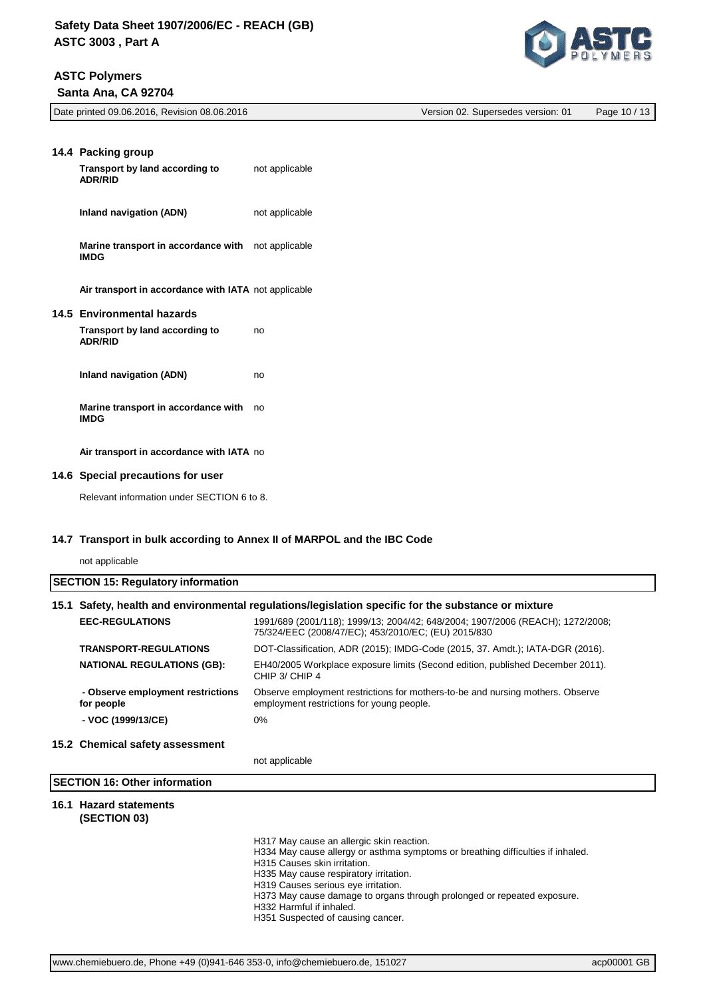# **ASTC Polymers**

 **Santa Ana, CA 92704**



| Date printed 09.06.2016, Revision 08.06.2016 | Version 02. Supersedes version: 01 | Page 10 / 13 |
|----------------------------------------------|------------------------------------|--------------|

| 14.4 Packing group<br>Transport by land according to<br><b>ADR/RID</b>         | not applicable |
|--------------------------------------------------------------------------------|----------------|
| Inland navigation (ADN)                                                        | not applicable |
| Marine transport in accordance with<br><b>IMDG</b>                             | not applicable |
| Air transport in accordance with IATA not applicable                           |                |
| 14.5 Environmental hazards<br>Transport by land according to<br><b>ADR/RID</b> | no             |
| Inland navigation (ADN)                                                        | no             |
| Marine transport in accordance with<br><b>IMDG</b>                             | no             |
| Air transport in accordance with IATA no                                       |                |

## **14.6 Special precautions for user**

Relevant information under SECTION 6 to 8.

## **14.7 Transport in bulk according to Annex II of MARPOL and the IBC Code**

not applicable

| <b>SECTION 15: Regulatory information</b> |  |
|-------------------------------------------|--|
|                                           |  |

# **15.1 Safety, health and environmental regulations/legislation specific for the substance or mixture**

| <b>EEC-REGULATIONS</b>                          | 1991/689 (2001/118); 1999/13; 2004/42; 648/2004; 1907/2006 (REACH); 1272/2008;<br>75/324/EEC (2008/47/EC); 453/2010/EC; (EU) 2015/830 |
|-------------------------------------------------|---------------------------------------------------------------------------------------------------------------------------------------|
| <b>TRANSPORT-REGULATIONS</b>                    | DOT-Classification, ADR (2015); IMDG-Code (2015, 37. Amdt.); IATA-DGR (2016).                                                         |
| <b>NATIONAL REGULATIONS (GB):</b>               | EH40/2005 Workplace exposure limits (Second edition, published December 2011).<br>CHIP 3/ CHIP 4                                      |
| - Observe employment restrictions<br>for people | Observe employment restrictions for mothers-to-be and nursing mothers. Observe<br>employment restrictions for young people.           |
| - VOC (1999/13/CE)                              | 0%                                                                                                                                    |

#### **15.2 Chemical safety assessment**

not applicable

# **SECTION 16: Other information**

#### **16.1 Hazard statements (SECTION 03)**

H317 May cause an allergic skin reaction.

H334 May cause allergy or asthma symptoms or breathing difficulties if inhaled.

H315 Causes skin irritation.

H335 May cause respiratory irritation.

H319 Causes serious eye irritation.

H373 May cause damage to organs through prolonged or repeated exposure.

H332 Harmful if inhaled.

H351 Suspected of causing cancer.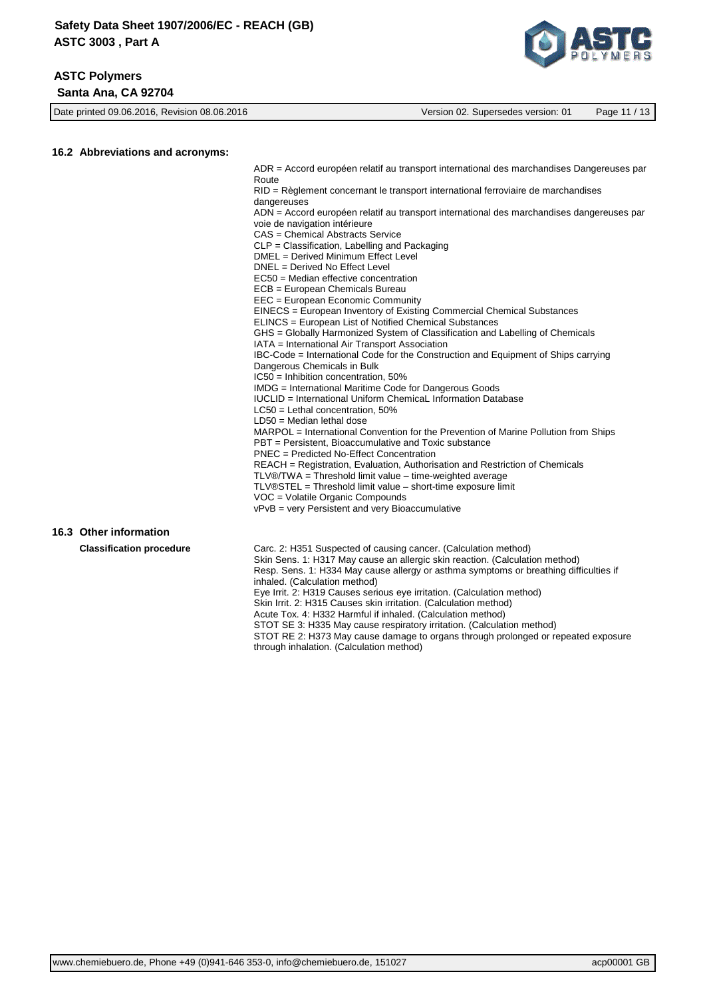

Date printed 09.06.2016, Revision 08.06.2016 Version 02. Supersedes version: 01 Page 11 / 13

#### **16.2 Abbreviations and acronyms:**

ADR = Accord européen relatif au transport international des marchandises Dangereuses par **Route** 

RID = Règlement concernant le transport international ferroviaire de marchandises dangereuses

ADN = Accord européen relatif au transport international des marchandises dangereuses par voie de navigation intérieure

CAS = Chemical Abstracts Service

CLP = Classification, Labelling and Packaging

- DMEL = Derived Minimum Effect Level
- DNEL = Derived No Effect Level
- EC50 = Median effective concentration
- ECB = European Chemicals Bureau
- EEC = European Economic Community
- EINECS = European Inventory of Existing Commercial Chemical Substances
- ELINCS = European List of Notified Chemical Substances
- GHS = Globally Harmonized System of Classification and Labelling of Chemicals

IATA = International Air Transport Association

IBC-Code = International Code for the Construction and Equipment of Ships carrying Dangerous Chemicals in Bulk

IC50 = Inhibition concentration, 50%

IMDG = International Maritime Code for Dangerous Goods

- IUCLID = International Uniform ChemicaL Information Database
- LC50 = Lethal concentration, 50%

LD50 = Median lethal dose

MARPOL = International Convention for the Prevention of Marine Pollution from Ships PBT = Persistent, Bioaccumulative and Toxic substance PNEC = Predicted No-Effect Concentration

REACH = Registration, Evaluation, Authorisation and Restriction of Chemicals

TLV®/TWA = Threshold limit value – time-weighted average

TLV®STEL = Threshold limit value – short-time exposure limit

VOC = Volatile Organic Compounds

vPvB = very Persistent and very Bioaccumulative

#### **16.3 Other information**

**Classification procedure** Carc. 2: H351 Suspected of causing cancer. (Calculation method) Skin Sens. 1: H317 May cause an allergic skin reaction. (Calculation method) Resp. Sens. 1: H334 May cause allergy or asthma symptoms or breathing difficulties if inhaled. (Calculation method) Eye Irrit. 2: H319 Causes serious eye irritation. (Calculation method) Skin Irrit. 2: H315 Causes skin irritation. (Calculation method) Acute Tox. 4: H332 Harmful if inhaled. (Calculation method) STOT SE 3: H335 May cause respiratory irritation. (Calculation method) STOT RE 2: H373 May cause damage to organs through prolonged or repeated exposure through inhalation. (Calculation method)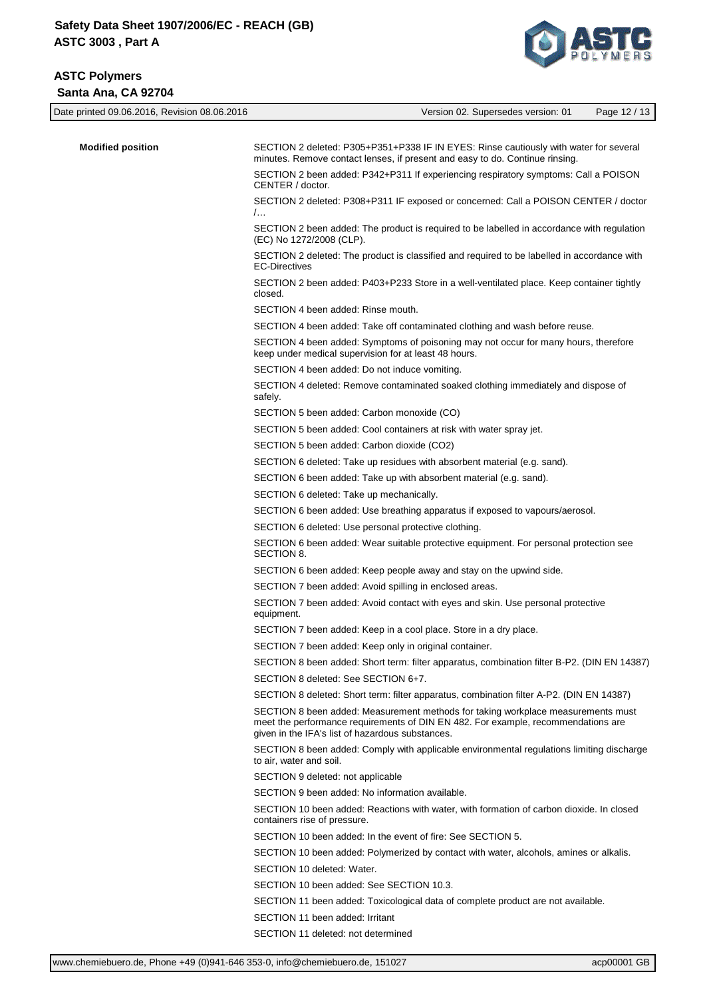# **ASTC Polymers Santa Ana, CA 92704**



| Date printed 09.06.2016, Revision 08.06.2016 | Version 02. Supersedes version: 01<br>Page 12 / 13                                                                                                                                                                        |
|----------------------------------------------|---------------------------------------------------------------------------------------------------------------------------------------------------------------------------------------------------------------------------|
| <b>Modified position</b>                     | SECTION 2 deleted: P305+P351+P338 IF IN EYES: Rinse cautiously with water for several<br>minutes. Remove contact lenses, if present and easy to do. Continue rinsing.                                                     |
|                                              | SECTION 2 been added: P342+P311 If experiencing respiratory symptoms: Call a POISON<br>CENTER / doctor.                                                                                                                   |
|                                              | SECTION 2 deleted: P308+P311 IF exposed or concerned: Call a POISON CENTER / doctor<br>$\mathcal{L}$ .                                                                                                                    |
|                                              | SECTION 2 been added: The product is required to be labelled in accordance with regulation<br>(EC) No 1272/2008 (CLP).                                                                                                    |
|                                              | SECTION 2 deleted: The product is classified and required to be labelled in accordance with<br><b>EC-Directives</b>                                                                                                       |
|                                              | SECTION 2 been added: P403+P233 Store in a well-ventilated place. Keep container tightly<br>closed.                                                                                                                       |
|                                              | SECTION 4 been added: Rinse mouth.                                                                                                                                                                                        |
|                                              | SECTION 4 been added: Take off contaminated clothing and wash before reuse.                                                                                                                                               |
|                                              | SECTION 4 been added: Symptoms of poisoning may not occur for many hours, therefore<br>keep under medical supervision for at least 48 hours.                                                                              |
|                                              | SECTION 4 been added: Do not induce vomiting.                                                                                                                                                                             |
|                                              | SECTION 4 deleted: Remove contaminated soaked clothing immediately and dispose of<br>safely.                                                                                                                              |
|                                              | SECTION 5 been added: Carbon monoxide (CO)                                                                                                                                                                                |
|                                              | SECTION 5 been added: Cool containers at risk with water spray jet.                                                                                                                                                       |
|                                              | SECTION 5 been added: Carbon dioxide (CO2)                                                                                                                                                                                |
|                                              | SECTION 6 deleted: Take up residues with absorbent material (e.g. sand).                                                                                                                                                  |
|                                              | SECTION 6 been added: Take up with absorbent material (e.g. sand).                                                                                                                                                        |
|                                              | SECTION 6 deleted: Take up mechanically.                                                                                                                                                                                  |
|                                              | SECTION 6 been added: Use breathing apparatus if exposed to vapours/aerosol.                                                                                                                                              |
|                                              | SECTION 6 deleted: Use personal protective clothing.                                                                                                                                                                      |
|                                              | SECTION 6 been added: Wear suitable protective equipment. For personal protection see<br>SECTION 8.                                                                                                                       |
|                                              | SECTION 6 been added: Keep people away and stay on the upwind side.                                                                                                                                                       |
|                                              | SECTION 7 been added: Avoid spilling in enclosed areas.                                                                                                                                                                   |
|                                              | SECTION 7 been added: Avoid contact with eyes and skin. Use personal protective<br>equipment.                                                                                                                             |
|                                              | SECTION 7 been added: Keep in a cool place. Store in a dry place.                                                                                                                                                         |
|                                              | SECTION 7 been added: Keep only in original container.                                                                                                                                                                    |
|                                              | SECTION 8 been added: Short term: filter apparatus, combination filter B-P2. (DIN EN 14387)                                                                                                                               |
|                                              | SECTION 8 deleted: See SECTION 6+7.                                                                                                                                                                                       |
|                                              | SECTION 8 deleted: Short term: filter apparatus, combination filter A-P2. (DIN EN 14387)                                                                                                                                  |
|                                              | SECTION 8 been added: Measurement methods for taking workplace measurements must<br>meet the performance requirements of DIN EN 482. For example, recommendations are<br>given in the IFA's list of hazardous substances. |
|                                              | SECTION 8 been added: Comply with applicable environmental regulations limiting discharge<br>to air, water and soil.                                                                                                      |
|                                              | SECTION 9 deleted: not applicable                                                                                                                                                                                         |
|                                              | SECTION 9 been added: No information available.                                                                                                                                                                           |
|                                              | SECTION 10 been added: Reactions with water, with formation of carbon dioxide. In closed<br>containers rise of pressure.                                                                                                  |
|                                              | SECTION 10 been added: In the event of fire: See SECTION 5.                                                                                                                                                               |
|                                              | SECTION 10 been added: Polymerized by contact with water, alcohols, amines or alkalis.                                                                                                                                    |
|                                              | SECTION 10 deleted: Water.                                                                                                                                                                                                |
|                                              | SECTION 10 been added: See SECTION 10.3.                                                                                                                                                                                  |
|                                              | SECTION 11 been added: Toxicological data of complete product are not available.                                                                                                                                          |
|                                              | SECTION 11 been added: Irritant                                                                                                                                                                                           |
|                                              | SECTION 11 deleted: not determined                                                                                                                                                                                        |